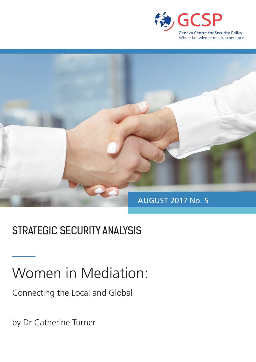



## STRATEGIC SECURITY ANALYSIS

# Women in Mediation:

Connecting the Local and Global

by Dr Catherine Turner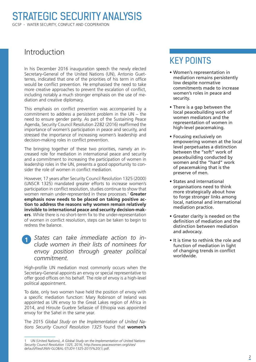#### Introduction

In his December 2016 inauguration speech the newly elected Secretary-General of the United Nations (UN), Antonio Guetterres, indicated that one of the priorities of his term in office would be conflict prevention. He emphasised the need to take more creative approaches to prevent the escalation of conflict, including notably a much stronger emphasis on the use of mediation and creative diplomacy.

This emphasis on conflict prevention was accompanied by a commitment to address a persistent problem in the UN – the need to ensure gender parity. As part of the Sustaining Peace Agenda, Security Council Resolution 2282 (2016) reaffirmed the importance of women's participation in peace and security, and stressed the importance of increasing women's leadership and decision-making roles in conflict prevention.

The bringing together of these two priorities, namely an increased role for mediation in international peace and security and a commitment to increasing the participation of women in leadership roles in the UN, presents a good opportunity to consider the role of women in conflict mediation.

However, 17 years after Security Council Resolution 1325 (2000) (UNSCR 1325) mandated greater efforts to increase women's participation in conflict resolution, studies continue to show that women remain under-represented in these processes.1 **Greater emphasis now needs to be placed on taking positive action to address the reasons why women remain relatively invisible to international peace and security decision-makers**. While there is no short-term fix to the under-representation of women in conflict resolution, steps can be taken to begin to redress the balance.

*States can take immediate action to in-* $\vert$ 1 *clude women in their lists of nominees for envoy position through greater political commitment.*

High-profile UN mediation most commonly occurs when the Secretary-General appoints an envoy or special representative to offer good offices on his behalf. The role of envoy is a high-level political appointment.

To date, only two women have held the position of envoy with a specific mediation function: Mary Robinson of Ireland was appointed as UN envoy to the Great Lakes region of Africa in 2014, and Hiroute Guebre Sellassie of Ethiopia was appointed envoy for the Sahel in the same year.

The 2015 *Global Study on the Implementation of United Nations Security Council Resolution 1325* found that **women's** 

### KEY POINTS

- Women's representation in mediation remains persistently low despite normative commitments made to increase women's roles in peace and security.
- There is a gap between the local peacebuilding work of women mediators and the representation of women in high-level peacemaking.
- Focusing exclusively on empowering women at the local level perpetuates a distinction between the "soft" work of peacebuilding conducted by women and the "hard" work of peacemaking that is the preserve of men.
- States and international organisations need to think more strategically about how to forge stronger links among local, national and international mediation practice.
- Greater clarity is needed on the definition of mediation and the distinction between mediation and advocacy.
- It is time to rethink the role and function of mediation in light of changing trends in conflict worldwide.

<sup>1</sup> UN (United Nations), *A Global Study on the Implementation of United Nations Security Council Resolution 1325*, 2016, http://www.peacewomen.org/sites/ default/files/UNW-GLOBAL-STUDY-1325-2015%20(1).pdf.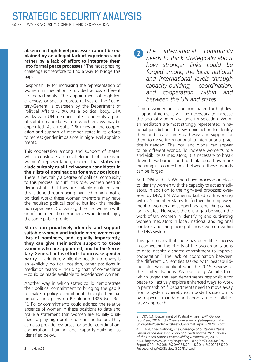**absence in high-level processes cannot be explained by an alleged lack of experience, but rather by a lack of effort to integrate them into formal peace processes.**<sup>2</sup> The most pressing challenge is therefore to find a way to bridge this gap.

Responsibility for increasing the representation of women in mediation is divided across different UN departments. The appointment of high-level envoys or special representatives of the Secretary-General is overseen by the Department of Political Affairs (DPA). As a political body, DPA works with UN member states to identify a pool of suitable candidates from which envoys may be appointed. As a result, DPA relies on the cooperation and support of member states in its efforts to redress gender imbalance in high-level appointments.

This cooperation among and support of states, which constitute a crucial element of increasing women's representation, requires that **states include suitably qualified women candidates in their lists of nominations for envoy positions.** There is inevitably a degree of political complexity to this process. To fulfil this role, women need to demonstrate that they are suitably qualified, and this is done through being involved in high-profile political work; these women therefore may have the required political profile, but lack the mediation experience. Conversely, there are women with significant mediation experience who do not enjoy the same public profile.

**States can proactively identify and support suitable women and include more women on lists of nominees, and, equally importantly, they can give their active support to those women who are appointed, and to the Secretary-General in his efforts to increase gender parity.** In addition, while the position of envoy is an explicitly political position, other positions in mediation teams – including that of co-mediator – could be made available to experienced women.

Another way in which states could demonstrate their political commitment to bridging the gap is to make a policy commitment through their national action plans on Resolution 1325 (see Box 1). Policy commitments could address the relative absence of women in these positions to date and make a statement that women are equally qualified to play high-profile roles in mediation. They can also provide resources for better coordination, cooperation, training and capacity-building, as identified below.

*The international community*   $\overline{2}$ *needs to think strategically about how stronger links could be forged among the local, national and international levels through capacity-building, coordination, and cooperation within and between the UN and states.*

If more women are to be nominated for high-level appointments, it will be necessary to increase the pool of women available for selection. Women mediators are most strongly represented in national jurisdictions, but systemic action to identify them and create career pathways and support for them to move from national to international practice is needed. The local and global can appear to be different worlds. To increase women's role and visibility as mediators, it is necessary to break down these barriers and to think about how more meaningful connections between these worlds can be forged.

Both DPA and UN Women have processes in place to identify women with the capacity to act as mediators. In addition to the high-level processes overseen by DPA, UN Women is tasked with working with UN member states to further the empowerment of women and support peacebuilding capacity in states. However, there is a gap between the work of UN Women in identifying and cultivating women mediators in local, national and regional contexts and the placing of those women within the DPA system.

This gap means that there has been little success in connecting the efforts of the two organisations to date, despite a shared commitment to improve cooperation.3 The lack of coordination between the different UN entities tasked with peacebuilding roles was highlighted in the 2015 Review of the United Nations Peacebuilding Architecture, which urged the lead departments responsible for peace to "actively explore enhanced ways to work in partnership".4 Departments need to move away from a system whereby each body focuses on its own specific mandate and adopt a more collaborative approach.

<sup>3</sup> DPA (UN Department of Political Affairs), *DPA Gender Factsheet*, 2016, http://peacemaker.un.org/sites/peacemaker. un.org/files/GenderFactsheet-US-Format\_April%202016.pdf

<sup>4</sup> UN (United Nations), *The Challenge of Sustaining Peace: Report of the Advisory Group of Experts for the 2015 Review of the United Nations Peacebuilding Architecture*, 2015, p.53, http://www.un.org/en/peacebuilding/pdf/150630%20 Report%20of%20the%20AGE%20on%20the%202015%20 Peacebuilding%20Review%20FINAL.pdf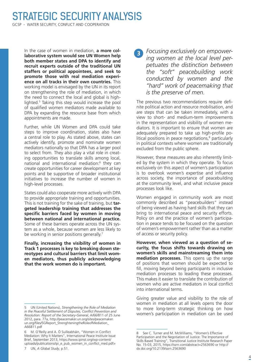In the case of women in mediation, **a more collaborative system would see UN Women help both member states and DPA to identify and recruit experts outside of the traditional UN staffers or political appointees, and seek to promote those with real mediation experience on all tracks in their own countries.** This working model is envisaged by the UN in its report on strengthening the role of mediation, in which the need to connect the local and global is highlighted.<sup>5</sup> Taking this step would increase the pool of qualified women mediators made available to DPA by expanding the resource base from which appointments are made.

Further, while UN Women and DPA could take steps to improve coordination, states also have a central role to play. As stated above, states can actively identify, promote and nominate women mediators nationally so that DPA has a larger pool to select from. They also play a vital role in creating opportunities to translate skills among local, national and international mediation:<sup>6</sup> they can create opportunities for career development at key points and be supportive of broader institutional initiatives to increase the number of women in high-level processes.

States could also cooperate more actively with DPA to provide appropriate training and opportunities. This is not training for the sake of training, but **targeted leadership training that addresses the specific barriers faced by women in moving between national and international practice.** Some of these barriers operate across the UN system as a whole, because women are less likely to be working in senior positions generally.<sup>7</sup>

**Finally, increasing the visibility of women in Track 1 processes is key to breaking down stereotypes and cultural barriers that limit women mediators, thus publicly acknowledging that the work women do is important.**

*Focusing exclusively on empowering women at the local level perpetuates the distinction between the "soft" peacebuilding work conducted by women and the "hard" work of peacemaking that is the preserve of men.* 

The previous two recommendations require definite political action and resource mobilisation, and are steps that can be taken immediately, with a view to short- and medium-term improvements in the representation and visibility of women mediators. It is important to ensure that women are adequately prepared to take up high-profile political positions in peace negotiations,<sup>8</sup> particularly in political contexts where women are traditionally excluded from the public sphere.

However, these measures are also inherently limited by the system in which they operate. To focus exclusively on this aspect of women's participation is to overlook women's expertise and influence across society, the importance of peacebuilding at the community level, and what inclusive peace processes look like.

Women engaged in community work are most commonly described as "peacebuilders" instead of being viewed as having hard skills that they can bring to international peace and security efforts. Policy on and the practice of women's participation in peace tends to be focused on the question of women's empowerment rather than as a matter of access or security policy.

**However, when viewed as a question of security, the focus shifts towards drawing on women's skills and mainstreaming them into mediation processes.** This opens up the range of positions that women should be expected to fill, moving beyond being participants in inclusive mediation processes to leading these processes. This makes it easier to translate the contribution of women who are active mediators in local conflict into international terms.

Giving greater value and visibility to the role of women in mediation at all levels opens the door to more long-term strategic thinking on how women's participation in mediation can be used

<sup>5</sup> UN (United Nations), *Strengthening the Role of Mediation in the Peaceful Settlement of Disputes, Conflict Prevention and Resolution: Report of the Secretary-General*, A/66/811 of 25 June 2012, para. 77a, http://peacemaker.un.org/sites/peacemaker. un.org/files/SGReport\_StrenghteningtheRoleofMediation\_ A66811.pdf

<sup>6</sup> M. O'Reilly and A. Ó Suilleabháin, "Women in Conflict Mediation: Why It Matters", International Peace Institute Issue Brief, September 2013, https://www.ipinst.org/wp-content/ uploads/publications/ipi\_e\_pub\_women\_in\_conflict\_med.pdf>

<sup>8</sup> See C. Turner and M. McWilliams, "Women's Effective Participation and the Negotiation of Justice: The Importance of Skills Based Training", Transitional Justice Institute Research Paper No. 15-03, 2015, https://ssrn.com/abstract=2563690 or http:// dx.doi.org/10.2139/ssrn.2563690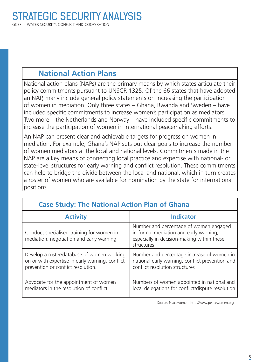#### **National Action Plans**

National action plans (NAPs) are the primary means by which states articulate their policy commitments pursuant to UNSCR 1325. Of the 66 states that have adopted an NAP, many include general policy statements on increasing the participation of women in mediation. Only three states – Ghana, Rwanda and Sweden – have included specific commitments to increase women's participation as mediators. Two more – the Netherlands and Norway – have included specific commitments to increase the participation of women in international peacemaking efforts.

An NAP can present clear and achievable targets for progress on women in mediation. For example, Ghana's NAP sets out clear goals to increase the number of women mediators at the local and national levels. Commitments made in the NAP are a key means of connecting local practice and expertise with national- or state-level structures for early warning and conflict resolution. These commitments can help to bridge the divide between the local and national, which in turn creates a roster of women who are available for nomination by the state for international positions.

| <b>Case Study: The National Action Plan of Ghana</b>                                                                                |                                                                                                                                              |
|-------------------------------------------------------------------------------------------------------------------------------------|----------------------------------------------------------------------------------------------------------------------------------------------|
| <b>Activity</b>                                                                                                                     | <b>Indicator</b>                                                                                                                             |
| Conduct specialised training for women in<br>mediation, negotiation and early warning.                                              | Number and percentage of women engaged<br>in formal mediation and early warning,<br>especially in decision-making within these<br>structures |
| Develop a roster/database of women working<br>on or with expertise in early warning, conflict<br>prevention or conflict resolution. | Number and percentage increase of women in<br>national early warning, conflict prevention and<br>conflict resolution structures              |
| Advocate for the appointment of women<br>mediators in the resolution of conflict.                                                   | Numbers of women appointed in national and<br>local delegations for conflict/dispute resolution                                              |

#### **Case Study: The National Action Plan of Ghana**

Source: Peacewomen, http://www.peacewomen.org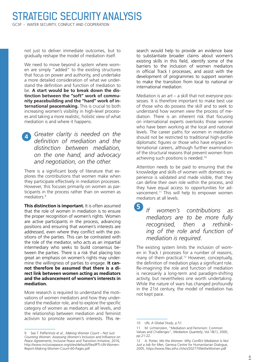not just to deliver immediate outcomes, but to gradually reshape the model of mediation itself.

We need to move beyond a system where women are simply "added" to the existing structures that focus on power and authority, and undertake a more detailed consideration of what we understand the definition and function of mediation to be. **A start would be to break down the distinction between the "soft" work of community peacebuilding and the "hard" work of international peacemaking.** This is crucial to both increasing women's visibility in high-level processes and taking a more realistic, holistic view of what mediation is and where it happens.

*Greater clarity is needed on the*   $\blacktriangle$ *definition of mediation and the distinction between mediation, on the one hand, and advocacy and negotiation, on the other.*

There is a significant body of literature that explores the contributions that women make when they participate effectively in mediation processes. However, this focuses primarily on women as participants in the process rather than on women as mediators<sup>9</sup>

**This distinction is important.** It is often assumed that the role of women in mediation is to ensure the proper recognition of women's rights. Women are active participants in the process, advancing positions and ensuring that women's interests are addressed, even where they conflict with the positions of the parties. This can be contrasted with the role of the mediator, who acts as an impartial intermediary who seeks to build consensus between the parties. There is a risk that placing too great an emphasis on women's rights may undermine the willingness of parties to engage. **It cannot therefore be assumed that there is a direct link between women acting as mediators and the advancement of women's interests in mediation.**

More research is required to understand the motivations of women mediators and how they understand the mediator role, and to explore the specific category of women as mediators at all levels, and the relationship between mediation and feminist activism to promote women's interests. This research would help to provide an evidence base to substantiate broader claims about women's existing skills in this field, identify some of the barriers to the inclusion of women mediators in official Track I processes, and assist with the development of programmes to support women to make the transition from local to national or international mediation.

Mediation is an art – a skill that not everyone possesses. It is therefore important to make best use of those who do possess the skill and to seek to understand how women view the process of mediation. There is an inherent risk that focusing on international experts overlooks those women who have been working at the local and national levels. The career paths for women in mediation should not be restricted to traditional high-profile diplomatic figures or those who have enjoyed international careers, although further examination of the structural reasons that prevent women from achieving such positions is needed.10

Attention needs to be paid to ensuring that the knowledge and skills of women with domestic experience is validated and made visible, that they can define their own role within the process, and they have equal access to opportunities for advancement.<sup>11</sup> This will help to empower women mediators at all levels.

*If women's contributions as mediators are to be more fully recognised, then a rethinking of the role and function of mediation is required.* **5**

The existing system limits the inclusion of women in Track I processes for a number of reasons, many of them practical.<sup>12</sup> However, conceptually, the definition of mediation plays a significant role. Re-imagining the role and function of mediation is necessarily a long-term and paradigm-shifting activity, but nevertheless one worth undertaking. While the nature of wars has changed profoundly in the 21st century, the model of mediation has not kept pace.

<sup>9</sup> See T. Paffenholz et al., *Making Women Count – Not Just Counting Women: Assessing Women's Inclusion and Influence on Peace Agreements*, Inclusive Peace and Transition Initiative, 2016, http://www.inclusivepeace.org/sites/default/files/IPTI-UN-Women-Report-Making-Women-Count-60-Pages.pdf

<sup>10</sup> UN, *A Global Study*, p.51.

<sup>11</sup> M. Lichtenstein, "Mediation and Feminism: Common Values and Challenges", *Mediation Quarterly*, Vol.18(1), 2000, pp.21-22.

<sup>12</sup> A. Potter, *We the Women: Why Conflict Mediation Is Not Just a Job for Men*, Geneva Centre for Humanitarian Dialogue, 2005, https://www.files.ethz.ch/isn/20277/WetheWomen.pdf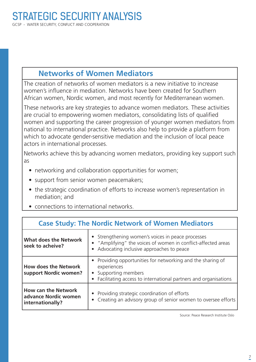#### **Networks of Women Mediators**

The creation of networks of women mediators is a new initiative to increase women's influence in mediation. Networks have been created for Southern African women, Nordic women, and most recently for Mediterranean women.

These networks are key strategies to advance women mediators. These activities are crucial to empowering women mediators, consolidating lists of qualified women and supporting the career progression of younger women mediators from national to international practice. Networks also help to provide a platform from which to advocate gender-sensitive mediation and the inclusion of local peace actors in international processes.

Networks achieve this by advancing women mediators, providing key support such as

- networking and collaboration opportunities for women;
- support from senior women peacemakers;
- the strategic coordination of efforts to increase women's representation in mediation; and
- connections to international networks.

| <b>Case Study: The Nordic Network of Women Mediators</b>               |                                                                                                                                                                             |
|------------------------------------------------------------------------|-----------------------------------------------------------------------------------------------------------------------------------------------------------------------------|
| <b>What does the Network</b><br>seek to acheive?                       | • Strengthening women's voices in peace processes<br>• "Amplifying" the voices of women in conflict-affected areas<br>Advocating inclusive approaches to peace<br>$\bullet$ |
| <b>How does the Network</b><br>support Nordic women?                   | Providing opportunities for networking and the sharing of<br>experiences<br>Supporting members<br>Facilitating access to international partners and organisations           |
| <b>How can the Network</b><br>advance Nordic women<br>internationally? | Providing strategic coordination of efforts<br>• Creating an advisory group of senior women to oversee efforts                                                              |

Source: Peace Research Institute Oslo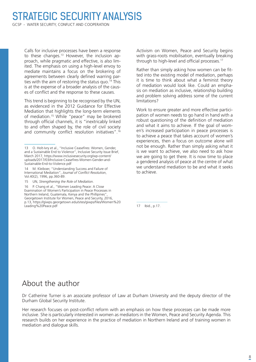### STRATEGIC SECURITY ANALYSIS

GCSP - WATER SECURITY, CONFLICT AND COOPERATION

Calls for inclusive processes have been a response to these changes.<sup>13</sup> However, the inclusion approach, while pragmatic and effective, is also limited. The emphasis on using a high-level envoy to mediate maintains a focus on the brokering of agreements between clearly defined warring parties with the aim of restoring the status quo.<sup>14</sup> This is at the expense of a broader analysis of the causes of conflict and the response to these causes.

This trend is beginning to be recognised by the UN, as evidenced in the 2012 Guidance for Effective Mediation that highlights the long-term elements of mediation.15 While "peace" may be brokered through official channels, it is "inextricably linked to and often shaped by, the role of civil society and community conflict resolution initiatives".16 Activism on Women, Peace and Security begins with grass-roots mobilisation, eventually breaking through to high-level and official processes.<sup>17</sup>

Rather than simply asking how women can be fitted into the existing model of mediation, perhaps it is time to think about what a feminist theory of mediation would look like. Could an emphasis on mediation as inclusive, relationship building and problem solving address some of the current limitations?

Work to ensure greater and more effective participation of women needs to go hand in hand with a robust questioning of the definition of mediation and what it aims to achieve. If the goal of women's increased participation in peace processes is to achieve a peace that takes account of women's experiences, then a focus on outcome alone will not be enough. Rather than simply asking what it is we want to achieve, we also need to ask how we are going to get there. It is now time to place a gendered analysis of peace at the centre of what we understand mediation to be and what it seeks to achieve.

17 Ibid., p.17.

#### About the author

Dr Catherine Turner is an associate professor of Law at Durham University and the deputy director of the Durham Global Security Institute.

Her research focuses on post-conflict reform with an emphasis on how these processes can be made more inclusive. She is particularly interested in women as mediators in the Women, Peace and Security Agenda. This research builds on her experience in the practice of mediation in Northern Ireland and of training women in mediation and dialogue skills.

<sup>13</sup> O. Holt-Ivry et al., "Inclusive Ceasefires: Women, Gender, and a Sustainable End to Violence", Inclusive Security Issue Brief, March 2017, https://www.inclusivesecurity.org/wp-content/ uploads/2017/03/Inclusive-Ceasefires-Women-Gender-and-Sustainable-End-to-Violence.pdf

<sup>14</sup> M. Kleiboer, "Understanding Success and Failure of International Mediation", *Journal of Conflict Resolution*, Vol.40(2), 1996, pp.360-89.

<sup>15</sup> UN, *Strengthening the Role of Mediation*.

<sup>16</sup> P. Chang et al., "Women Leading Peace: A Close Examination of Women's Participation in Peace Processes in Northern Ireland, Guatemala, Kenya and the Phillipines" Georgetown Institute for Women, Peace and Security, 2016, p.13, https://giwps.georgetown.edu/sites/giwps/files/Women%20 Leading%20Peace.pdf